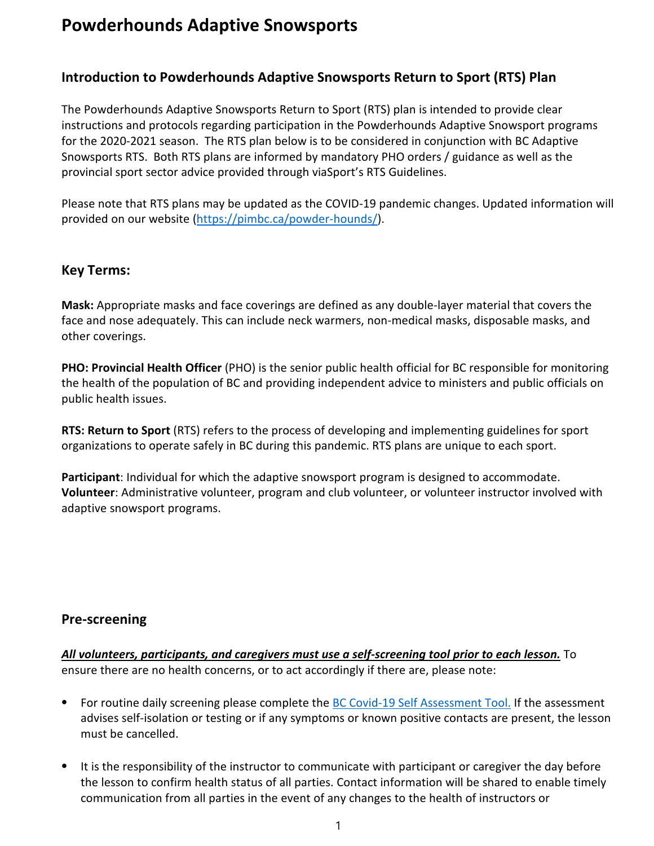# Powderhounds Adaptive Snowsports

## Introduction to Powderhounds Adaptive Snowsports Return to Sport (RTS) Plan

The Powderhounds Adaptive Snowsports Return to Sport (RTS) plan is intended to provide clear instructions and protocols regarding participation in the Powderhounds Adaptive Snowsport programs for the 2020-2021 season. The RTS plan below is to be considered in conjunction with BC Adaptive Snowsports RTS. Both RTS plans are informed by mandatory PHO orders / guidance as well as the provincial sport sector advice provided through viaSport's RTS Guidelines.

Please note that RTS plans may be updated as the COVID-19 pandemic changes. Updated information will provided on our website (https://pimbc.ca/powder-hounds/).

## Key Terms:

Mask: Appropriate masks and face coverings are defined as any double-layer material that covers the face and nose adequately. This can include neck warmers, non-medical masks, disposable masks, and other coverings.

PHO: Provincial Health Officer (PHO) is the senior public health official for BC responsible for monitoring the health of the population of BC and providing independent advice to ministers and public officials on public health issues.

RTS: Return to Sport (RTS) refers to the process of developing and implementing guidelines for sport organizations to operate safely in BC during this pandemic. RTS plans are unique to each sport.

Participant: Individual for which the adaptive snowsport program is designed to accommodate. Volunteer: Administrative volunteer, program and club volunteer, or volunteer instructor involved with adaptive snowsport programs.

## Pre-screening

All volunteers, participants, and caregivers must use a self-screening tool prior to each lesson. To ensure there are no health concerns, or to act accordingly if there are, please note:

- ⦁ For routine daily screening please complete the BC Covid-19 Self Assessment Tool. If the assessment advises self-isolation or testing or if any symptoms or known positive contacts are present, the lesson must be cancelled.
- ⦁ It is the responsibility of the instructor to communicate with participant or caregiver the day before the lesson to confirm health status of all parties. Contact information will be shared to enable timely communication from all parties in the event of any changes to the health of instructors or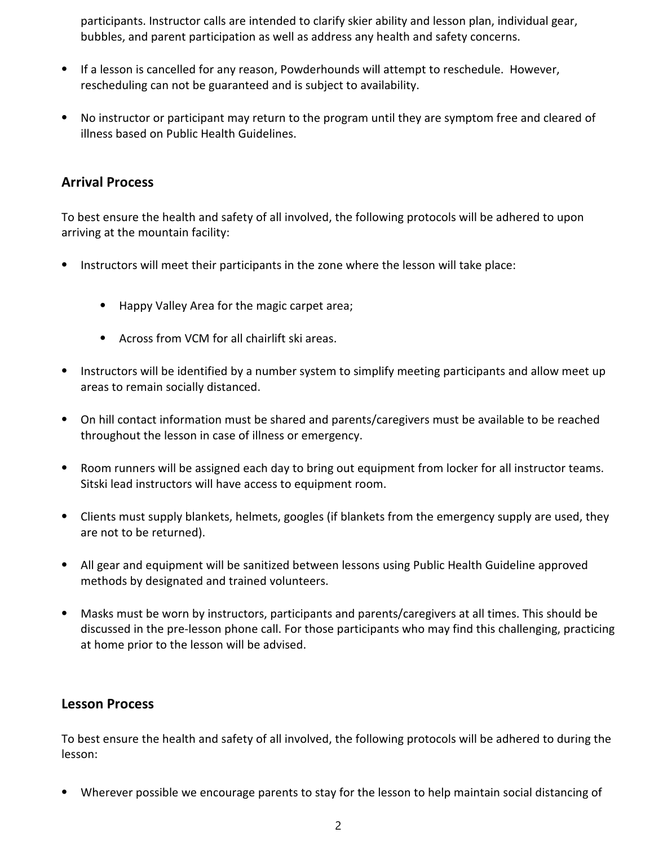participants. Instructor calls are intended to clarify skier ability and lesson plan, individual gear, bubbles, and parent participation as well as address any health and safety concerns.

- ⦁ If a lesson is cancelled for any reason, Powderhounds will attempt to reschedule. However, rescheduling can not be guaranteed and is subject to availability.
- ⦁ No instructor or participant may return to the program until they are symptom free and cleared of illness based on Public Health Guidelines.

#### Arrival Process

To best ensure the health and safety of all involved, the following protocols will be adhered to upon arriving at the mountain facility:

- ⦁ Instructors will meet their participants in the zone where the lesson will take place:
	- ⦁ Happy Valley Area for the magic carpet area;
	- ⦁ Across from VCM for all chairlift ski areas.
- ⦁ Instructors will be identified by a number system to simplify meeting participants and allow meet up areas to remain socially distanced.
- ⦁ On hill contact information must be shared and parents/caregivers must be available to be reached throughout the lesson in case of illness or emergency.
- ⦁ Room runners will be assigned each day to bring out equipment from locker for all instructor teams. Sitski lead instructors will have access to equipment room.
- ⦁ Clients must supply blankets, helmets, googles (if blankets from the emergency supply are used, they are not to be returned).
- ⦁ All gear and equipment will be sanitized between lessons using Public Health Guideline approved methods by designated and trained volunteers.
- ⦁ Masks must be worn by instructors, participants and parents/caregivers at all times. This should be discussed in the pre-lesson phone call. For those participants who may find this challenging, practicing at home prior to the lesson will be advised.

### Lesson Process

To best ensure the health and safety of all involved, the following protocols will be adhered to during the lesson:

⦁ Wherever possible we encourage parents to stay for the lesson to help maintain social distancing of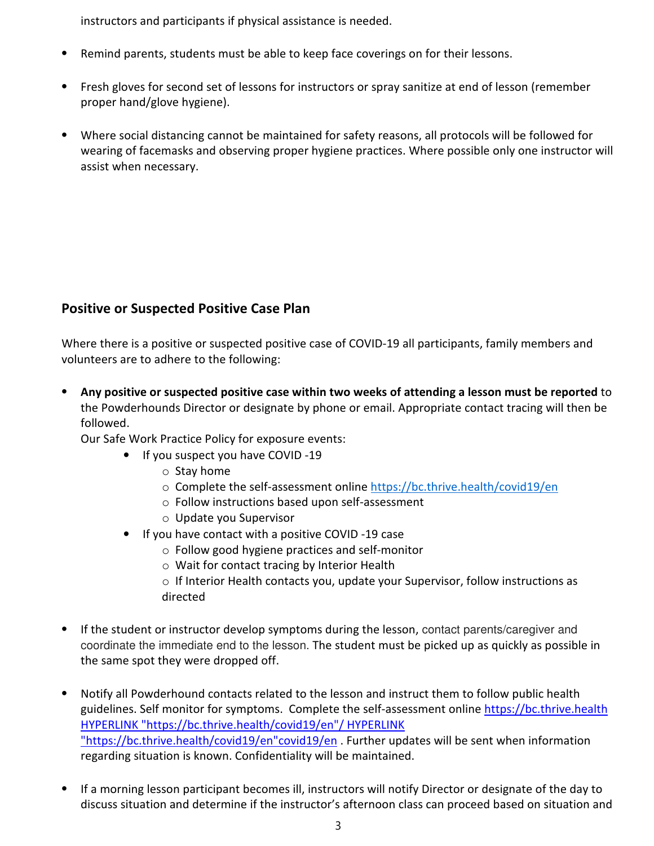instructors and participants if physical assistance is needed.

- ⦁ Remind parents, students must be able to keep face coverings on for their lessons.
- ⦁ Fresh gloves for second set of lessons for instructors or spray sanitize at end of lesson (remember proper hand/glove hygiene).
- ⦁ Where social distancing cannot be maintained for safety reasons, all protocols will be followed for wearing of facemasks and observing proper hygiene practices. Where possible only one instructor will assist when necessary.

## Positive or Suspected Positive Case Plan

Where there is a positive or suspected positive case of COVID-19 all participants, family members and volunteers are to adhere to the following:

⦁ Any positive or suspected positive case within two weeks of attending a lesson must be reported to the Powderhounds Director or designate by phone or email. Appropriate contact tracing will then be followed.

Our Safe Work Practice Policy for exposure events:

- If you suspect you have COVID -19
	- o Stay home
	- o Complete the self-assessment online https://bc.thrive.health/covid19/en
	- o Follow instructions based upon self-assessment
	- o Update you Supervisor
- If you have contact with a positive COVID -19 case
	- o Follow good hygiene practices and self-monitor
	- o Wait for contact tracing by Interior Health
	- o If Interior Health contacts you, update your Supervisor, follow instructions as directed
- ⦁ If the student or instructor develop symptoms during the lesson, contact parents/caregiver and coordinate the immediate end to the lesson. The student must be picked up as quickly as possible in the same spot they were dropped off.
- ⦁ Notify all Powderhound contacts related to the lesson and instruct them to follow public health guidelines. Self monitor for symptoms. Complete the self-assessment online https://bc.thrive.health HYPERLINK "https://bc.thrive.health/covid19/en"/ HYPERLINK "https://bc.thrive.health/covid19/en"covid19/en . Further updates will be sent when information regarding situation is known. Confidentiality will be maintained.
- ⦁ If a morning lesson participant becomes ill, instructors will notify Director or designate of the day to discuss situation and determine if the instructor's afternoon class can proceed based on situation and